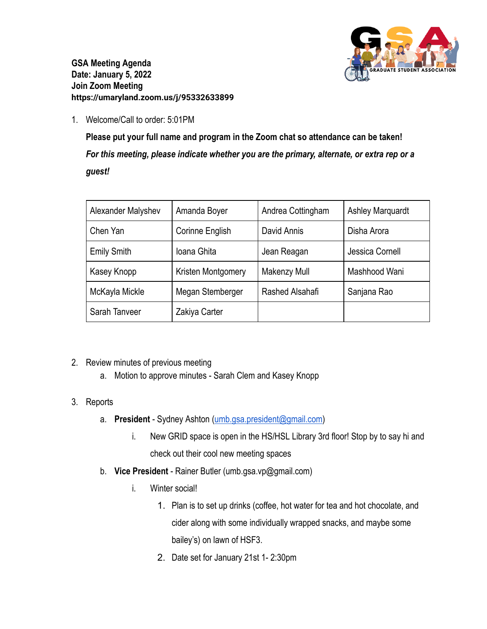

**GSA Meeting Agenda Date: January 5, 2022 Join Zoom Meeting https://umaryland.zoom.us/j/95332633899**

1. Welcome/Call to order: 5:01PM

**Please put your full name and program in the Zoom chat so attendance can be taken!** *For this meeting, please indicate whether you are the primary, alternate, or extra rep or a guest!*

| Alexander Malyshev | Amanda Boyer       | Andrea Cottingham | <b>Ashley Marquardt</b> |
|--------------------|--------------------|-------------------|-------------------------|
| Chen Yan           | Corinne English    | David Annis       | Disha Arora             |
| <b>Emily Smith</b> | Ioana Ghita        | Jean Reagan       | Jessica Cornell         |
| Kasey Knopp        | Kristen Montgomery | Makenzy Mull      | Mashhood Wani           |
| McKayla Mickle     | Megan Stemberger   | Rashed Alsahafi   | Sanjana Rao             |
| Sarah Tanveer      | Zakiya Carter      |                   |                         |

- 2. Review minutes of previous meeting
	- a. Motion to approve minutes Sarah Clem and Kasey Knopp
- 3. Reports
	- a. **President** Sydney Ashton ([umb.gsa.president@gmail.com\)](mailto:umb.gsa.president@gmail.com)
		- i. New GRID space is open in the HS/HSL Library 3rd floor! Stop by to say hi and check out their cool new meeting spaces
	- b. **Vice President** Rainer Butler (umb.gsa.vp@gmail.com)
		- i. Winter social!
			- 1. Plan is to set up drinks (coffee, hot water for tea and hot chocolate, and cider along with some individually wrapped snacks, and maybe some bailey's) on lawn of HSF3.
			- 2. Date set for January 21st 1- 2:30pm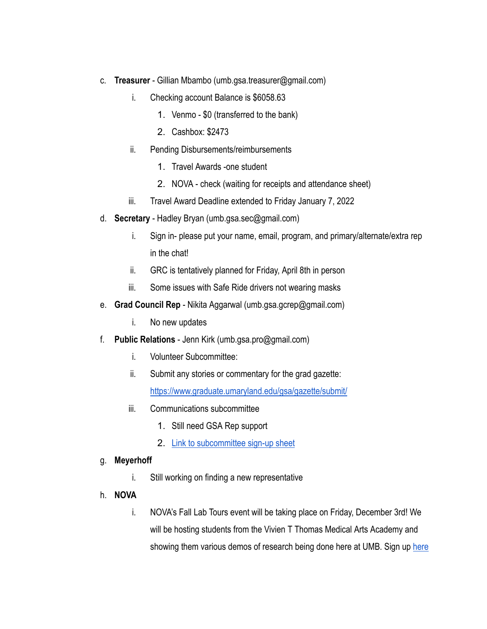- c. **Treasurer** Gillian Mbambo (umb.gsa.treasurer@gmail.com)
	- i. Checking account Balance is \$6058.63
		- 1. Venmo \$0 (transferred to the bank)
		- 2. Cashbox: \$2473
	- ii. Pending Disbursements/reimbursements
		- 1. Travel Awards -one student
		- 2. NOVA check (waiting for receipts and attendance sheet)
	- iii. Travel Award Deadline extended to Friday January 7, 2022
- d. **Secretary** Hadley Bryan (umb.gsa.sec@gmail.com)
	- i. Sign in- please put your name, email, program, and primary/alternate/extra rep in the chat!
	- ii. GRC is tentatively planned for Friday, April 8th in person
	- iii. Some issues with Safe Ride drivers not wearing masks
- e. **Grad Council Rep** Nikita Aggarwal (umb.gsa.gcrep@gmail.com)
	- i. No new updates
- f. **Public Relations** Jenn Kirk (umb.gsa.pro@gmail.com)
	- i. Volunteer Subcommittee:
	- ii. Submit any stories or commentary for the grad gazette: <https://www.graduate.umaryland.edu/gsa/gazette/submit/>
	- iii. Communications subcommittee
		- 1. Still need GSA Rep support
		- 2. [Link to subcommittee sign-up sheet](https://docs.google.com/spreadsheets/d/1i0KLCGADcoN_xXXSZKCarf5cBUtkC6gA4Yb3Slvn7-0/edit#gid=2013564926)

## g. **Meyerhoff**

- i. Still working on finding a new representative
- h. **NOVA**
	- i. NOVA's Fall Lab Tours event will be taking place on Friday, December 3rd! We will be hosting students from the Vivien T Thomas Medical Arts Academy and showing them various demos of research being done [here](https://docs.google.com/spreadsheets/d/1WYEjcLD_jvp2na3mmTkmVVP4n6fdXxMraVgwh0101sY/edit#gid=0) at UMB. Sign up here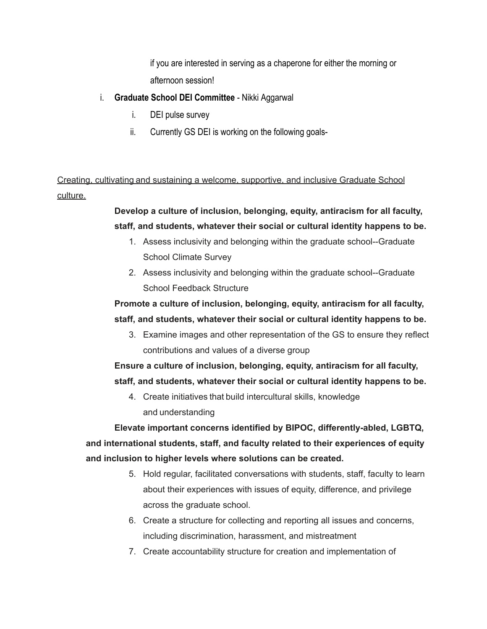if you are interested in serving as a chaperone for either the morning or afternoon session!

- i. **Graduate School DEI Committee** Nikki Aggarwal
	- i. DEI pulse survey
	- ii. Currently GS DEI is working on the following goals-

Creating, cultivating and sustaining a welcome, supportive, and inclusive Graduate School culture.

> **Develop a culture of inclusion, belonging, equity, antiracism for all faculty, staff, and students, whatever their social or cultural identity happens to be.**

- 1. Assess inclusivity and belonging within the graduate school--Graduate School Climate Survey
- 2. Assess inclusivity and belonging within the graduate school--Graduate School Feedback Structure

**Promote a culture of inclusion, belonging, equity, antiracism for all faculty, staff, and students, whatever their social or cultural identity happens to be.**

3. Examine images and other representation of the GS to ensure they reflect contributions and values of a diverse group

**Ensure a culture of inclusion, belonging, equity, antiracism for all faculty, staff, and students, whatever their social or cultural identity happens to be.**

4. Create initiatives that build intercultural skills, knowledge and understanding

**Elevate important concerns identified by BIPOC, differently-abled, LGBTQ, and international students, staff, and faculty related to their experiences of equity and inclusion to higher levels where solutions can be created.**

- 5. Hold regular, facilitated conversations with students, staff, faculty to learn about their experiences with issues of equity, difference, and privilege across the graduate school.
- 6. Create a structure for collecting and reporting all issues and concerns, including discrimination, harassment, and mistreatment
- 7. Create accountability structure for creation and implementation of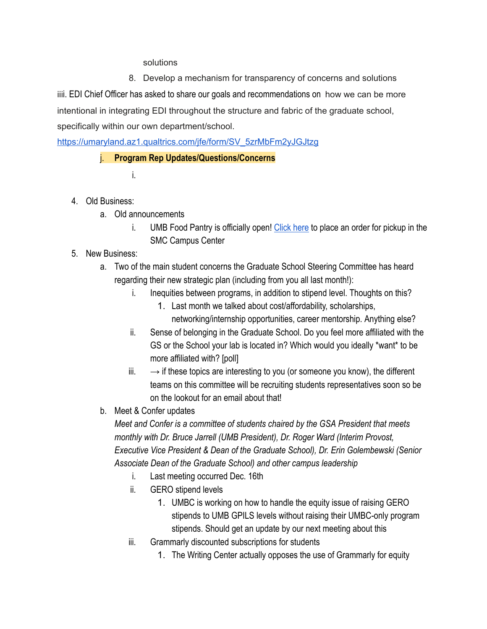## solutions

8. Develop a mechanism for transparency of concerns and solutions

iiii. EDI Chief Officer has asked to share our goals and recommendations on how we can be more intentional in integrating EDI throughout the structure and fabric of the graduate school, specifically within our own department/school.

[https://umaryland.az1.qualtrics.com/jfe/form/SV\\_5zrMbFm2yJGJtzg](https://umaryland.az1.qualtrics.com/jfe/form/SV_5zrMbFm2yJGJtzg)

## j. **Program Rep Updates/Questions/Concerns**

- i.
- 4. Old Business:
	- a. Old announcements
		- i. UMB Food Pantry is officially open! [Click here](https://clbs.wufoo.com/forms/m1r7ykdq15ixe54/) to place an order for pickup in the SMC Campus Center
- 5. New Business:
	- a. Two of the main student concerns the Graduate School Steering Committee has heard regarding their new strategic plan (including from you all last month!):
		- i. Inequities between programs, in addition to stipend level. Thoughts on this?
			- 1. Last month we talked about cost/affordability, scholarships, networking/internship opportunities, career mentorship. Anything else?
		- ii. Sense of belonging in the Graduate School. Do you feel more affiliated with the GS or the School your lab is located in? Which would you ideally \*want\* to be more affiliated with? [poll]
		- $iii. \rightarrow$  if these topics are interesting to you (or someone you know), the different teams on this committee will be recruiting students representatives soon so be on the lookout for an email about that!
	- b. Meet & Confer updates

*Meet and Confer is a committee of students chaired by the GSA President that meets monthly with Dr. Bruce Jarrell (UMB President), Dr. Roger Ward (Interim Provost, Executive Vice President & Dean of the Graduate School), Dr. Erin Golembewski (Senior Associate Dean of the Graduate School) and other campus leadership*

- i. Last meeting occurred Dec. 16th
- ii. GERO stipend levels
	- 1. UMBC is working on how to handle the equity issue of raising GERO stipends to UMB GPILS levels without raising their UMBC-only program stipends. Should get an update by our next meeting about this
- iii. Grammarly discounted subscriptions for students
	- 1. The Writing Center actually opposes the use of Grammarly for equity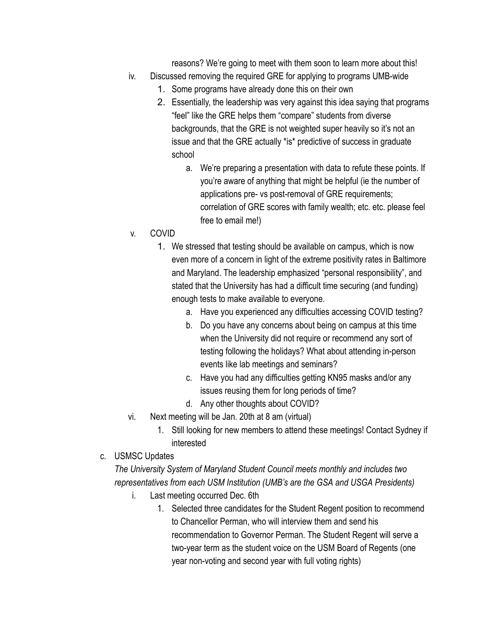reasons? We're going to meet with them soon to learn more about this!

- iv. Discussed removing the required GRE for applying to programs UMB-wide
	- 1. Some programs have already done this on their own
	- 2. Essentially, the leadership was very against this idea saying that programs "feel" like the GRE helps them "compare" students from diverse backgrounds, that the GRE is not weighted super heavily so it's not an issue and that the GRE actually \*is\* predictive of success in graduate school
		- a. We're preparing a presentation with data to refute these points. If you're aware of anything that might be helpful (ie the number of applications pre- vs post-removal of GRE requirements; correlation of GRE scores with family wealth; etc. etc. please feel free to email me!)
- v. COVID
	- 1. We stressed that testing should be available on campus, which is now even more of a concern in light of the extreme positivity rates in Baltimore and Maryland. The leadership emphasized "personal responsibility", and stated that the University has had a difficult time securing (and funding) enough tests to make available to everyone.
		- a. Have you experienced any difficulties accessing COVID testing?
		- b. Do you have any concerns about being on campus at this time when the University did not require or recommend any sort of testing following the holidays? What about attending in-person events like lab meetings and seminars?
		- c. Have you had any difficulties getting KN95 masks and/or any issues reusing them for long periods of time?
		- d. Any other thoughts about COVID?
- vi. Next meeting will be Jan. 20th at 8 am (virtual)
	- 1. Still looking for new members to attend these meetings! Contact Sydney if interested
- c. USMSC Updates

*The University System of Maryland Student Council meets monthly and includes two representatives from each USM Institution (UMB's are the GSA and USGA Presidents)*

- i. Last meeting occurred Dec. 6th
	- 1. Selected three candidates for the Student Regent position to recommend to Chancellor Perman, who will interview them and send his recommendation to Governor Perman. The Student Regent will serve a two-year term as the student voice on the USM Board of Regents (one year non-voting and second year with full voting rights)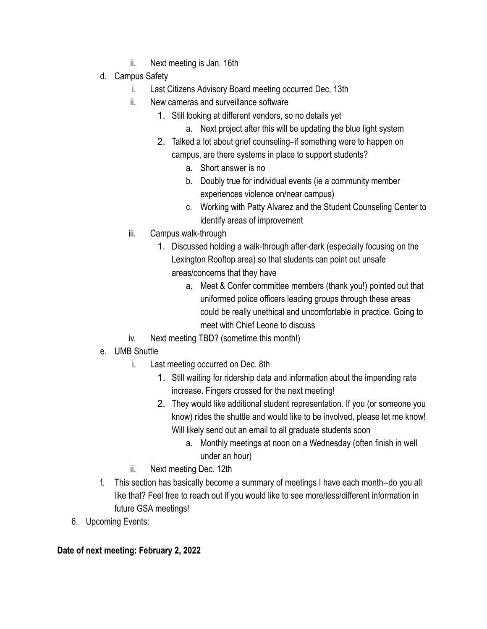- ii. Next meeting is Jan. 16th
- d. Campus Safety
	- i. Last Citizens Advisory Board meeting occurred Dec, 13th
	- ii. New cameras and surveillance software
		- 1. Still looking at different vendors, so no details yet
			- a. Next project after this will be updating the blue light system
		- 2. Talked a lot about grief counseling–if something were to happen on campus, are there systems in place to support students?
			- a. Short answer is no
			- b. Doubly true for individual events (ie a community member experiences violence on/near campus)
			- c. Working with Patty Alvarez and the Student Counseling Center to identify areas of improvement
	- iii. Campus walk-through
		- 1. Discussed holding a walk-through after-dark (especially focusing on the Lexington Rooftop area) so that students can point out unsafe areas/concerns that they have
			- a. Meet & Confer committee members (thank you!) pointed out that uniformed police officers leading groups through these areas could be really unethical and uncomfortable in practice. Going to meet with Chief Leone to discuss
	- iv. Next meeting TBD? (sometime this month!)
- e. UMB Shuttle
	- i. Last meeting occurred on Dec. 8th
		- 1. Still waiting for ridership data and information about the impending rate increase. Fingers crossed for the next meeting!
		- 2. They would like additional student representation. If you (or someone you know) rides the shuttle and would like to be involved, please let me know! Will likely send out an email to all graduate students soon
			- a. Monthly meetings at noon on a Wednesday (often finish in well under an hour)
	- ii. Next meeting Dec. 12th
- f. This section has basically become a summary of meetings I have each month--do you all like that? Feel free to reach out if you would like to see more/less/different information in future GSA meetings!
- 6. Upcoming Events:

**Date of next meeting: February 2, 2022**